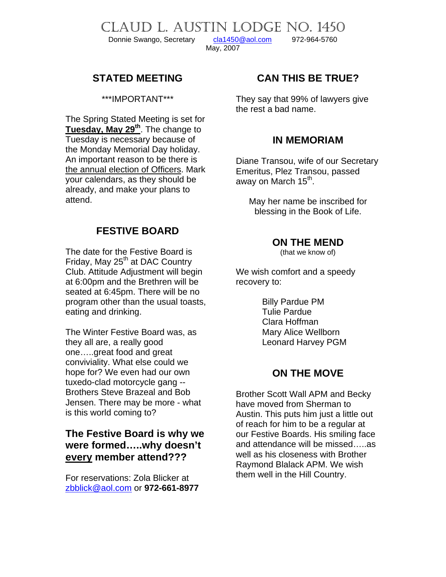Donnie Swango, Secretary [cla1450@aol.com](mailto:cla1450@aol.com) 972-964-5760

May, 2007

CLAUD L. AUSTIN LODGE NO. 1450

## **STATED MEETING**

\*\*\*IMPORTANT\*\*\*

The Spring Stated Meeting is set for **Tuesday, May 29th**. The change to Tuesday is necessary because of the Monday Memorial Day holiday. An important reason to be there is the annual election of Officers. Mark your calendars, as they should be already, and make your plans to attend.

# **FESTIVE BOARD**

The date for the Festive Board is Friday, May 25<sup>th</sup> at DAC Country Club. Attitude Adjustment will begin at 6:00pm and the Brethren will be seated at 6:45pm. There will be no program other than the usual toasts, eating and drinking.

The Winter Festive Board was, as they all are, a really good one…..great food and great conviviality. What else could we hope for? We even had our own tuxedo-clad motorcycle gang -- Brothers Steve Brazeal and Bob Jensen. There may be more - what is this world coming to?

## **The Festive Board is why we were formed…..why doesn't every member attend???**

For reservations: Zola Blicker at [zbblick@aol.com](mailto:zbblick@aol.com) or **972-661-8977** 

# **CAN THIS BE TRUE?**

They say that 99% of lawyers give the rest a bad name.

### **IN MEMORIAM**

Diane Transou, wife of our Secretary Emeritus, Plez Transou, passed away on March 15<sup>th</sup>.

May her name be inscribed for blessing in the Book of Life.

#### **ON THE MEND**

(that we know of)

We wish comfort and a speedy recovery to:

> Billy Pardue PM Tulie Pardue Clara Hoffman Mary Alice Wellborn Leonard Harvey PGM

## **ON THE MOVE**

Brother Scott Wall APM and Becky have moved from Sherman to Austin. This puts him just a little out of reach for him to be a regular at our Festive Boards. His smiling face and attendance will be missed…..as well as his closeness with Brother Raymond Blalack APM. We wish them well in the Hill Country.